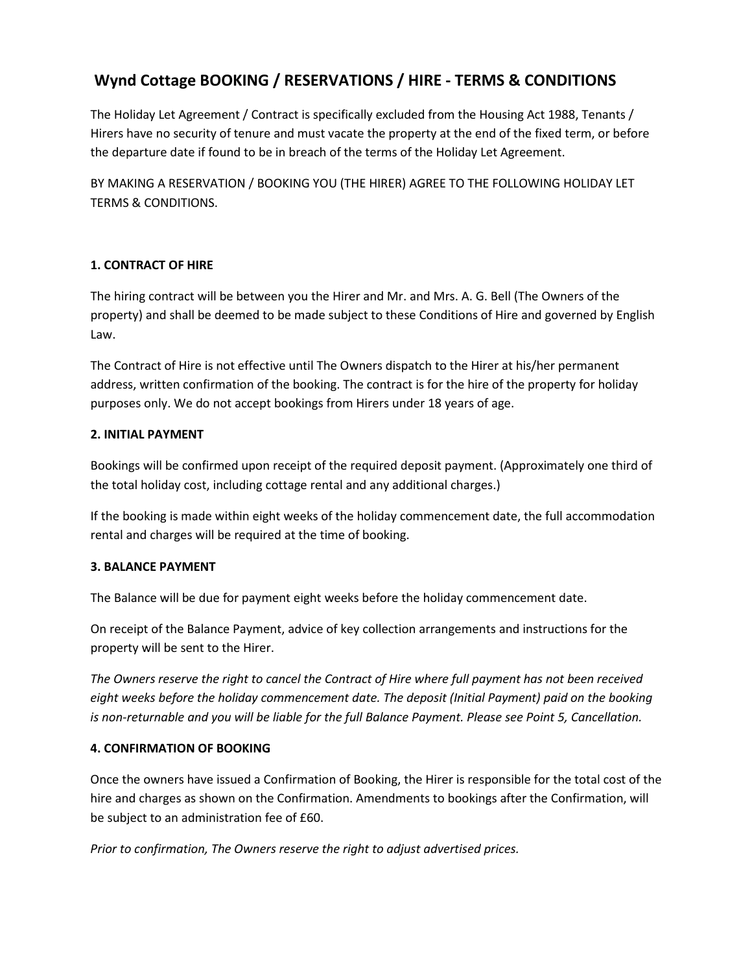# **Wynd Cottage BOOKING / RESERVATIONS / HIRE - TERMS & CONDITIONS**

The Holiday Let Agreement / Contract is specifically excluded from the Housing Act 1988, Tenants / Hirers have no security of tenure and must vacate the property at the end of the fixed term, or before the departure date if found to be in breach of the terms of the Holiday Let Agreement.

BY MAKING A RESERVATION / BOOKING YOU (THE HIRER) AGREE TO THE FOLLOWING HOLIDAY LET TERMS & CONDITIONS.

## **1. CONTRACT OF HIRE**

The hiring contract will be between you the Hirer and Mr. and Mrs. A. G. Bell (The Owners of the property) and shall be deemed to be made subject to these Conditions of Hire and governed by English Law.

The Contract of Hire is not effective until The Owners dispatch to the Hirer at his/her permanent address, written confirmation of the booking. The contract is for the hire of the property for holiday purposes only. We do not accept bookings from Hirers under 18 years of age.

## **2. INITIAL PAYMENT**

Bookings will be confirmed upon receipt of the required deposit payment. (Approximately one third of the total holiday cost, including cottage rental and any additional charges.)

If the booking is made within eight weeks of the holiday commencement date, the full accommodation rental and charges will be required at the time of booking.

# **3. BALANCE PAYMENT**

The Balance will be due for payment eight weeks before the holiday commencement date.

On receipt of the Balance Payment, advice of key collection arrangements and instructions for the property will be sent to the Hirer.

*The Owners reserve the right to cancel the Contract of Hire where full payment has not been received eight weeks before the holiday commencement date. The deposit (Initial Payment) paid on the booking is non-returnable and you will be liable for the full Balance Payment. Please see Point 5, Cancellation.*

#### **4. CONFIRMATION OF BOOKING**

Once the owners have issued a Confirmation of Booking, the Hirer is responsible for the total cost of the hire and charges as shown on the Confirmation. Amendments to bookings after the Confirmation, will be subject to an administration fee of £60.

*Prior to confirmation, The Owners reserve the right to adjust advertised prices.*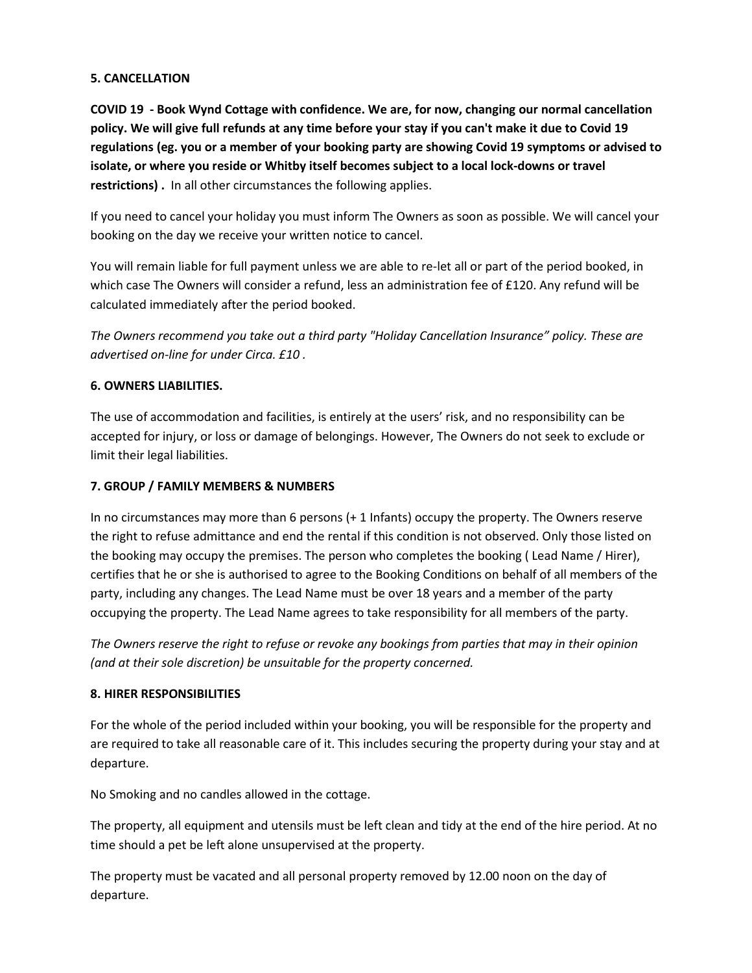## **5. CANCELLATION**

**COVID 19 - Book Wynd Cottage with confidence. We are, for now, changing our normal cancellation policy. We will give full refunds at any time before your stay if you can't make it due to Covid 19 regulations (eg. you or a member of your booking party are showing Covid 19 symptoms or advised to isolate, or where you reside or Whitby itself becomes subject to a local lock-downs or travel restrictions) .** In all other circumstances the following applies.

If you need to cancel your holiday you must inform The Owners as soon as possible. We will cancel your booking on the day we receive your written notice to cancel.

You will remain liable for full payment unless we are able to re-let all or part of the period booked, in which case The Owners will consider a refund, less an administration fee of £120. Any refund will be calculated immediately after the period booked.

*The Owners recommend you take out a third party "Holiday Cancellation Insurance" policy. These are advertised on-line for under Circa. £10 .*

# **6. OWNERS LIABILITIES.**

The use of accommodation and facilities, is entirely at the users' risk, and no responsibility can be accepted for injury, or loss or damage of belongings. However, The Owners do not seek to exclude or limit their legal liabilities.

# **7. GROUP / FAMILY MEMBERS & NUMBERS**

In no circumstances may more than 6 persons (+ 1 Infants) occupy the property. The Owners reserve the right to refuse admittance and end the rental if this condition is not observed. Only those listed on the booking may occupy the premises. The person who completes the booking ( Lead Name / Hirer), certifies that he or she is authorised to agree to the Booking Conditions on behalf of all members of the party, including any changes. The Lead Name must be over 18 years and a member of the party occupying the property. The Lead Name agrees to take responsibility for all members of the party.

*The Owners reserve the right to refuse or revoke any bookings from parties that may in their opinion (and at their sole discretion) be unsuitable for the property concerned.*

# **8. HIRER RESPONSIBILITIES**

For the whole of the period included within your booking, you will be responsible for the property and are required to take all reasonable care of it. This includes securing the property during your stay and at departure.

No Smoking and no candles allowed in the cottage.

The property, all equipment and utensils must be left clean and tidy at the end of the hire period. At no time should a pet be left alone unsupervised at the property.

The property must be vacated and all personal property removed by 12.00 noon on the day of departure.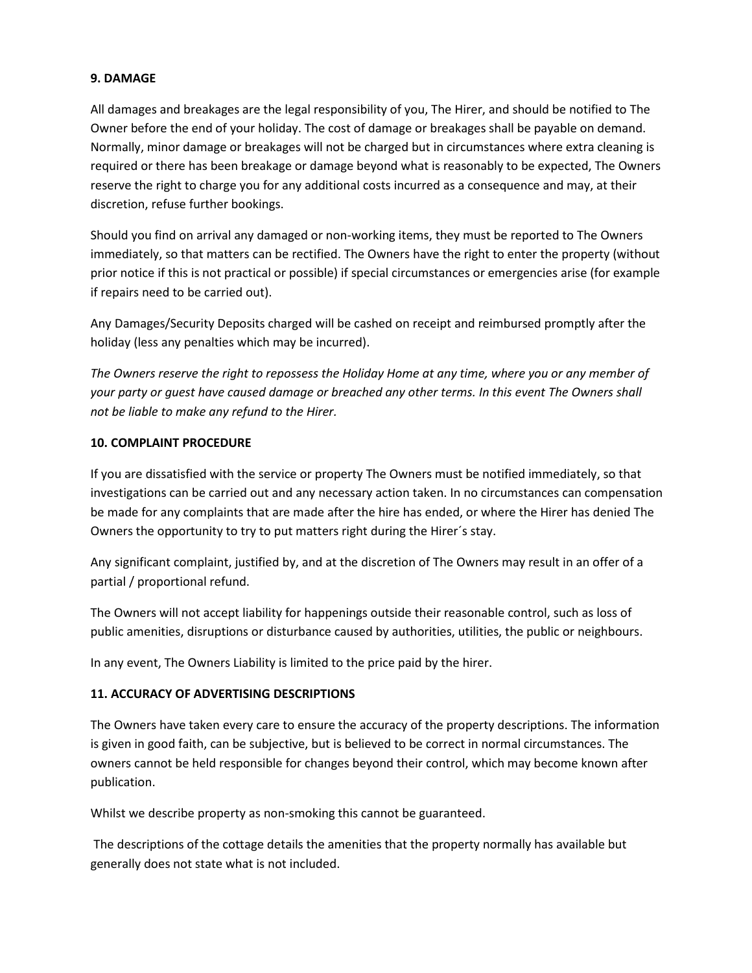#### **9. DAMAGE**

All damages and breakages are the legal responsibility of you, The Hirer, and should be notified to The Owner before the end of your holiday. The cost of damage or breakages shall be payable on demand. Normally, minor damage or breakages will not be charged but in circumstances where extra cleaning is required or there has been breakage or damage beyond what is reasonably to be expected, The Owners reserve the right to charge you for any additional costs incurred as a consequence and may, at their discretion, refuse further bookings.

Should you find on arrival any damaged or non-working items, they must be reported to The Owners immediately, so that matters can be rectified. The Owners have the right to enter the property (without prior notice if this is not practical or possible) if special circumstances or emergencies arise (for example if repairs need to be carried out).

Any Damages/Security Deposits charged will be cashed on receipt and reimbursed promptly after the holiday (less any penalties which may be incurred).

*The Owners reserve the right to repossess the Holiday Home at any time, where you or any member of your party or guest have caused damage or breached any other terms. In this event The Owners shall not be liable to make any refund to the Hirer.*

## **10. COMPLAINT PROCEDURE**

If you are dissatisfied with the service or property The Owners must be notified immediately, so that investigations can be carried out and any necessary action taken. In no circumstances can compensation be made for any complaints that are made after the hire has ended, or where the Hirer has denied The Owners the opportunity to try to put matters right during the Hirer´s stay.

Any significant complaint, justified by, and at the discretion of The Owners may result in an offer of a partial / proportional refund.

The Owners will not accept liability for happenings outside their reasonable control, such as loss of public amenities, disruptions or disturbance caused by authorities, utilities, the public or neighbours.

In any event, The Owners Liability is limited to the price paid by the hirer.

# **11. ACCURACY OF ADVERTISING DESCRIPTIONS**

The Owners have taken every care to ensure the accuracy of the property descriptions. The information is given in good faith, can be subjective, but is believed to be correct in normal circumstances. The owners cannot be held responsible for changes beyond their control, which may become known after publication.

Whilst we describe property as non-smoking this cannot be guaranteed.

The descriptions of the cottage details the amenities that the property normally has available but generally does not state what is not included.